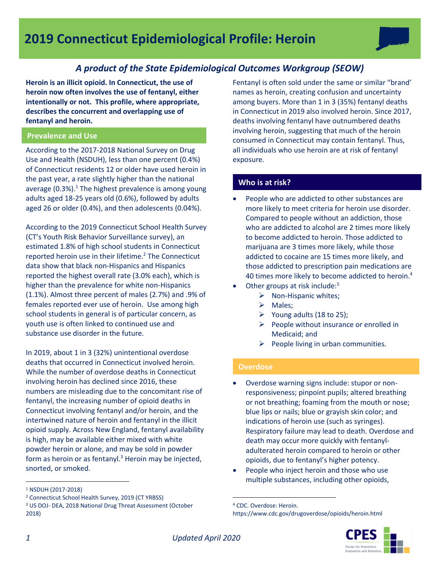# *A product of the State Epidemiological Outcomes Workgroup (SEOW)*

**Heroin is an illicit opioid. In Connecticut, the use of heroin now often involves the use of fentanyl, either intentionally or not. This profile, where appropriate, describes the concurrent and overlapping use of fentanyl and heroin.**

### **Prevalence and Use**

According to the 2017-2018 National Survey on Drug Use and Health (NSDUH), less than one percent (0.4%) of Connecticut residents 12 or older have used heroin in the past year, a rate slightly higher than the national average (0.3%). $1$  The highest prevalence is among young adults aged 18-25 years old (0.6%), followed by adults aged 26 or older (0.4%), and then adolescents (0.04%).

According to the 2019 Connecticut School Health Survey (CT's Youth Risk Behavior Surveillance survey), an estimated 1.8% of high school students in Connecticut reported heroin use in their lifetime.<sup>2</sup> The Connecticut data show that black non-Hispanics and Hispanics reported the highest overall rate (3.0% each), which is higher than the prevalence for white non-Hispanics (1.1%). Almost three percent of males (2.7%) and .9% of females reported ever use of heroin. Use among high school students in general is of particular concern, as youth use is often linked to continued use and substance use disorder in the future.

In 2019, about 1 in 3 (32%) unintentional overdose deaths that occurred in Connecticut involved heroin. While the number of overdose deaths in Connecticut involving heroin has declined since 2016, these numbers are misleading due to the concomitant rise of fentanyl, the increasing number of opioid deaths in Connecticut involving fentanyl and/or heroin, and the intertwined nature of heroin and fentanyl in the illicit opioid supply. Across New England, fentanyl availability is high, may be available either mixed with white powder heroin or alone, and may be sold in powder form as heroin or as fentanyl. $3$  Heroin may be injected, snorted, or smoked.

Fentanyl is often sold under the same or similar "brand' names as heroin, creating confusion and uncertainty among buyers. More than 1 in 3 (35%) fentanyl deaths in Connecticut in 2019 also involved heroin. Since 2017, deaths involving fentanyl have outnumbered deaths involving heroin, suggesting that much of the heroin consumed in Connecticut may contain fentanyl. Thus, all individuals who use heroin are at risk of fentanyl exposure.

## **Who is at risk?**

- People who are addicted to other substances are more likely to meet criteria for heroin use disorder. Compared to people without an addiction, those who are addicted to alcohol are 2 times more likely to become addicted to heroin. Those addicted to marijuana are 3 times more likely, while those addicted to cocaine are 15 times more likely, and those addicted to prescription pain medications are 40 times more likely to become addicted to heroin.<sup>4</sup>
- Other groups at risk include:<sup>5</sup>
	- $\triangleright$  Non-Hispanic whites;
	- > Males;
	- $\triangleright$  Young adults (18 to 25);
	- $\triangleright$  People without insurance or enrolled in Medicaid; and
	- $\triangleright$  People living in urban communities.

## **Overdose**

- Overdose warning signs include: stupor or nonresponsiveness; pinpoint pupils; altered breathing or not breathing; foaming from the mouth or nose; blue lips or nails; blue or grayish skin color; and indications of heroin use (such as syringes). Respiratory failure may lead to death. Overdose and death may occur more quickly with fentanyladulterated heroin compared to heroin or other opioids, due to fentanyl's higher potency.
- People who inject heroin and those who use multiple substances, including other opioids,

<sup>4</sup> CDC. Overdose: Heroin. https://www.cdc.gov/drugoverdose/opioids/heroin.html



 $\overline{a}$ 

 $\overline{a}$ 

<sup>1</sup> NSDUH (2017-2018)

<sup>2</sup> Connecticut School Health Survey, 2019 (CT YRBSS)

<sup>3</sup> US DOJ- DEA, 2018 National Drug Threat Assessment (October 2018)